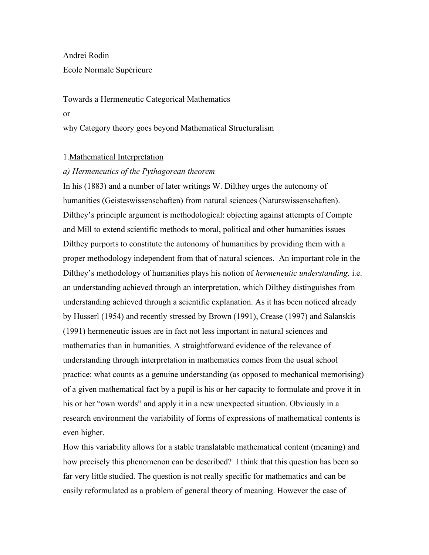Andrei Rodin Ecole Normale Supérieure

Towards a Hermeneutic Categorical Mathematics or why Category theory goes beyond Mathematical Structuralism

## 1.Mathematical Interpretation

## *a) Hermeneutics of the Pythagorean theorem*

In his (1883) and a number of later writings W. Dilthey urges the autonomy of humanities (Geisteswissenschaften) from natural sciences (Naturswissenschaften). Dilthey's principle argument is methodological: objecting against attempts of Compte and Mill to extend scientific methods to moral, political and other humanities issues Dilthey purports to constitute the autonomy of humanities by providing them with a proper methodology independent from that of natural sciences. An important role in the Dilthey's methodology of humanities plays his notion of *hermeneutic understanding,* i.e. an understanding achieved through an interpretation, which Dilthey distinguishes from understanding achieved through a scientific explanation. As it has been noticed already by Husserl (1954) and recently stressed by Brown (1991), Crease (1997) and Salanskis (1991) hermeneutic issues are in fact not less important in natural sciences and mathematics than in humanities. A straightforward evidence of the relevance of understanding through interpretation in mathematics comes from the usual school practice: what counts as a genuine understanding (as opposed to mechanical memorising) of a given mathematical fact by a pupil is his or her capacity to formulate and prove it in his or her "own words" and apply it in a new unexpected situation. Obviously in a research environment the variability of forms of expressions of mathematical contents is even higher.

How this variability allows for a stable translatable mathematical content (meaning) and how precisely this phenomenon can be described? I think that this question has been so far very little studied. The question is not really specific for mathematics and can be easily reformulated as a problem of general theory of meaning. However the case of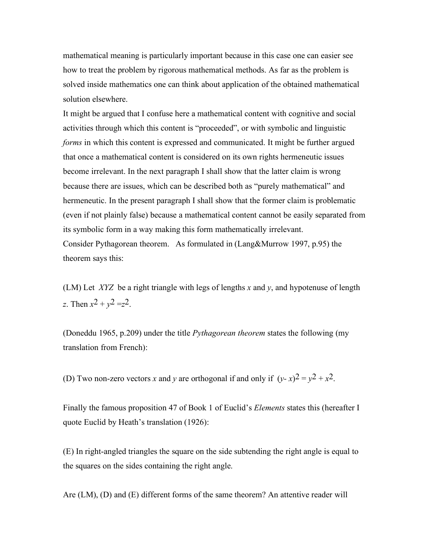mathematical meaning is particularly important because in this case one can easier see how to treat the problem by rigorous mathematical methods. As far as the problem is solved inside mathematics one can think about application of the obtained mathematical solution elsewhere.

It might be argued that I confuse here a mathematical content with cognitive and social activities through which this content is "proceeded", or with symbolic and linguistic *forms* in which this content is expressed and communicated. It might be further argued that once a mathematical content is considered on its own rights hermeneutic issues become irrelevant. In the next paragraph I shall show that the latter claim is wrong because there are issues, which can be described both as "purely mathematical" and hermeneutic. In the present paragraph I shall show that the former claim is problematic (even if not plainly false) because a mathematical content cannot be easily separated from its symbolic form in a way making this form mathematically irrelevant. Consider Pythagorean theorem. As formulated in (Lang&Murrow 1997, p.95) the theorem says this:

(LM) Let *XYZ* be a right triangle with legs of lengths *x* and *y*, and hypotenuse of length *z*. Then  $x^2 + y^2 = z^2$ .

(Doneddu 1965, p.209) under the title *Pythagorean theorem* states the following (my translation from French):

(D) Two non-zero vectors *x* and *y* are orthogonal if and only if  $(y-x)^2 = y^2 + x^2$ .

Finally the famous proposition 47 of Book 1 of Euclid's *Elements* states this (hereafter I quote Euclid by Heath's translation (1926):

(E) In right-angled triangles the square on the side subtending the right angle is equal to the squares on the sides containing the right angle.

Are (LM), (D) and (E) different forms of the same theorem? An attentive reader will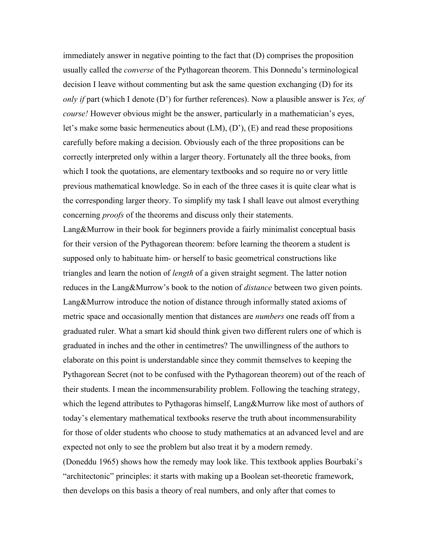immediately answer in negative pointing to the fact that (D) comprises the proposition usually called the *converse* of the Pythagorean theorem. This Donnedu's terminological decision I leave without commenting but ask the same question exchanging (D) for its *only if* part (which I denote (D') for further references). Now a plausible answer is *Yes, of course!* However obvious might be the answer, particularly in a mathematician's eyes, let's make some basic hermeneutics about (LM), (D'), (E) and read these propositions carefully before making a decision. Obviously each of the three propositions can be correctly interpreted only within a larger theory. Fortunately all the three books, from which I took the quotations, are elementary textbooks and so require no or very little previous mathematical knowledge. So in each of the three cases it is quite clear what is the corresponding larger theory. To simplify my task I shall leave out almost everything concerning *proofs* of the theorems and discuss only their statements.

Lang&Murrow in their book for beginners provide a fairly minimalist conceptual basis for their version of the Pythagorean theorem: before learning the theorem a student is supposed only to habituate him- or herself to basic geometrical constructions like triangles and learn the notion of *length* of a given straight segment. The latter notion reduces in the Lang&Murrow's book to the notion of *distance* between two given points. Lang&Murrow introduce the notion of distance through informally stated axioms of metric space and occasionally mention that distances are *numbers* one reads off from a graduated ruler. What a smart kid should think given two different rulers one of which is graduated in inches and the other in centimetres? The unwillingness of the authors to elaborate on this point is understandable since they commit themselves to keeping the Pythagorean Secret (not to be confused with the Pythagorean theorem) out of the reach of their students. I mean the incommensurability problem. Following the teaching strategy, which the legend attributes to Pythagoras himself, Lang&Murrow like most of authors of today's elementary mathematical textbooks reserve the truth about incommensurability for those of older students who choose to study mathematics at an advanced level and are expected not only to see the problem but also treat it by a modern remedy. (Doneddu 1965) shows how the remedy may look like. This textbook applies Bourbaki's "architectonic" principles: it starts with making up a Boolean set-theoretic framework, then develops on this basis a theory of real numbers, and only after that comes to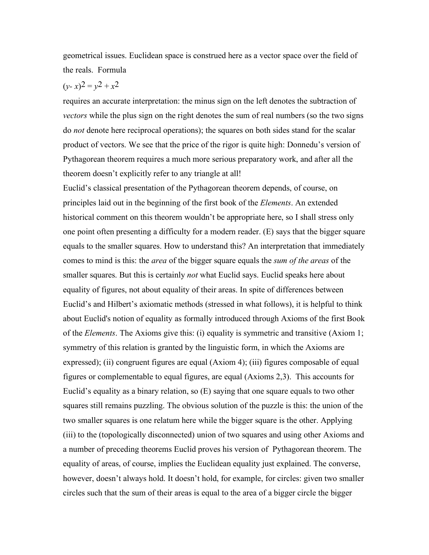geometrical issues. Euclidean space is construed here as a vector space over the field of the reals. Formula

# $(y-x)^2 = y^2 + x^2$

requires an accurate interpretation: the minus sign on the left denotes the subtraction of *vectors* while the plus sign on the right denotes the sum of real numbers (so the two signs do *not* denote here reciprocal operations); the squares on both sides stand for the scalar product of vectors. We see that the price of the rigor is quite high: Donnedu's version of Pythagorean theorem requires a much more serious preparatory work, and after all the theorem doesn't explicitly refer to any triangle at all!

Euclid's classical presentation of the Pythagorean theorem depends, of course, on principles laid out in the beginning of the first book of the *Elements*. An extended historical comment on this theorem wouldn't be appropriate here, so I shall stress only one point often presenting a difficulty for a modern reader. (E) says that the bigger square equals to the smaller squares. How to understand this? An interpretation that immediately comes to mind is this: the *area* of the bigger square equals the *sum of the areas* of the smaller squares. But this is certainly *not* what Euclid says. Euclid speaks here about equality of figures, not about equality of their areas. In spite of differences between Euclid's and Hilbert's axiomatic methods (stressed in what follows), it is helpful to think about Euclid's notion of equality as formally introduced through Axioms of the first Book of the *Elements*. The Axioms give this: (i) equality is symmetric and transitive (Axiom 1; symmetry of this relation is granted by the linguistic form, in which the Axioms are expressed); (ii) congruent figures are equal (Axiom 4); (iii) figures composable of equal figures or complementable to equal figures, are equal (Axioms 2,3). This accounts for Euclid's equality as a binary relation, so (E) saying that one square equals to two other squares still remains puzzling. The obvious solution of the puzzle is this: the union of the two smaller squares is one relatum here while the bigger square is the other. Applying (iii) to the (topologically disconnected) union of two squares and using other Axioms and a number of preceding theorems Euclid proves his version of Pythagorean theorem. The equality of areas, of course, implies the Euclidean equality just explained. The converse, however, doesn't always hold. It doesn't hold, for example, for circles: given two smaller circles such that the sum of their areas is equal to the area of a bigger circle the bigger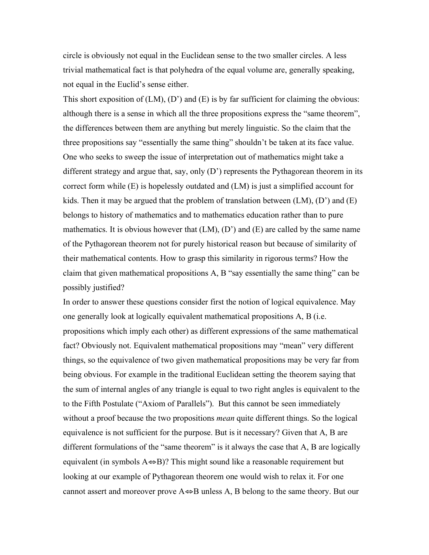circle is obviously not equal in the Euclidean sense to the two smaller circles. A less trivial mathematical fact is that polyhedra of the equal volume are, generally speaking, not equal in the Euclid's sense either.

This short exposition of  $(LM)$ ,  $(D')$  and  $(E)$  is by far sufficient for claiming the obvious: although there is a sense in which all the three propositions express the "same theorem", the differences between them are anything but merely linguistic. So the claim that the three propositions say "essentially the same thing" shouldn't be taken at its face value. One who seeks to sweep the issue of interpretation out of mathematics might take a different strategy and argue that, say, only (D') represents the Pythagorean theorem in its correct form while (E) is hopelessly outdated and (LM) is just a simplified account for kids. Then it may be argued that the problem of translation between  $(LM)$ ,  $(D')$  and  $(E)$ belongs to history of mathematics and to mathematics education rather than to pure mathematics. It is obvious however that  $(LM)$ ,  $(D')$  and  $(E)$  are called by the same name of the Pythagorean theorem not for purely historical reason but because of similarity of their mathematical contents. How to grasp this similarity in rigorous terms? How the claim that given mathematical propositions A, B "say essentially the same thing" can be possibly justified?

In order to answer these questions consider first the notion of logical equivalence. May one generally look at logically equivalent mathematical propositions A, B (i.e. propositions which imply each other) as different expressions of the same mathematical fact? Obviously not. Equivalent mathematical propositions may "mean" very different things, so the equivalence of two given mathematical propositions may be very far from being obvious. For example in the traditional Euclidean setting the theorem saying that the sum of internal angles of any triangle is equal to two right angles is equivalent to the to the Fifth Postulate ("Axiom of Parallels"). But this cannot be seen immediately without a proof because the two propositions *mean* quite different things. So the logical equivalence is not sufficient for the purpose. But is it necessary? Given that A, B are different formulations of the "same theorem" is it always the case that A, B are logically equivalent (in symbols  $A \Leftrightarrow B$ )? This might sound like a reasonable requirement but looking at our example of Pythagorean theorem one would wish to relax it. For one cannot assert and moreover prove  $A \Leftrightarrow B$  unless A, B belong to the same theory. But our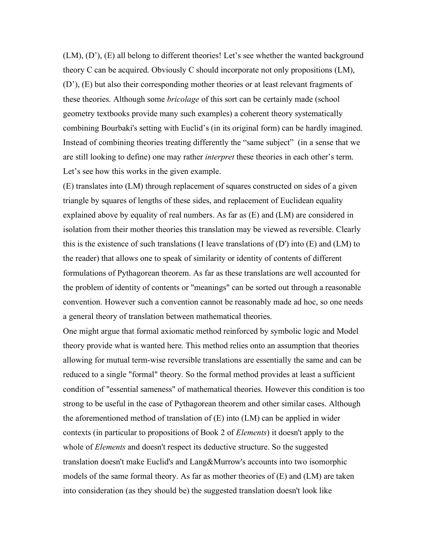(LM), (D'), (E) all belong to different theories! Let's see whether the wanted background theory C can be acquired. Obviously C should incorporate not only propositions (LM), (D'), (E) but also their corresponding mother theories or at least relevant fragments of these theories. Although some *bricolage* of this sort can be certainly made (school geometry textbooks provide many such examples) a coherent theory systematically combining Bourbaki's setting with Euclid's (in its original form) can be hardly imagined. Instead of combining theories treating differently the "same subject" (in a sense that we are still looking to define) one may rather *interpret* these theories in each other's term. Let's see how this works in the given example.

(E) translates into (LM) through replacement of squares constructed on sides of a given triangle by squares of lengths of these sides, and replacement of Euclidean equality explained above by equality of real numbers. As far as (E) and (LM) are considered in isolation from their mother theories this translation may be viewed as reversible. Clearly this is the existence of such translations (I leave translations of (D') into (E) and (LM) to the reader) that allows one to speak of similarity or identity of contents of different formulations of Pythagorean theorem. As far as these translations are well accounted for the problem of identity of contents or "meanings" can be sorted out through a reasonable convention. However such a convention cannot be reasonably made ad hoc, so one needs a general theory of translation between mathematical theories.

One might argue that formal axiomatic method reinforced by symbolic logic and Model theory provide what is wanted here. This method relies onto an assumption that theories allowing for mutual term-wise reversible translations are essentially the same and can be reduced to a single "formal" theory. So the formal method provides at least a sufficient condition of "essential sameness" of mathematical theories. However this condition is too strong to be useful in the case of Pythagorean theorem and other similar cases. Although the aforementioned method of translation of  $(E)$  into  $(LM)$  can be applied in wider contexts (in particular to propositions of Book 2 of *Elements*) it doesn't apply to the whole of *Elements* and doesn't respect its deductive structure. So the suggested translation doesn't make Euclid's and Lang&Murrow's accounts into two isomorphic models of the same formal theory. As far as mother theories of (E) and (LM) are taken into consideration (as they should be) the suggested translation doesn't look like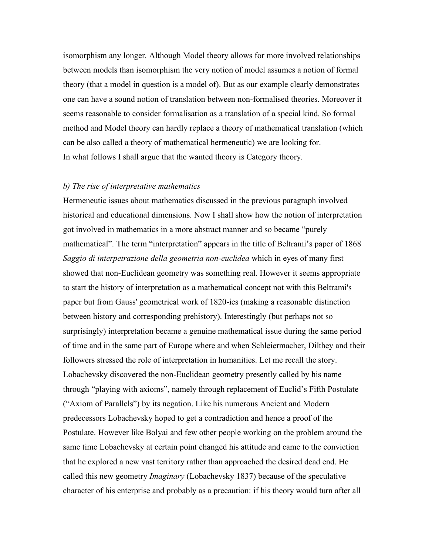isomorphism any longer. Although Model theory allows for more involved relationships between models than isomorphism the very notion of model assumes a notion of formal theory (that a model in question is a model of). But as our example clearly demonstrates one can have a sound notion of translation between non-formalised theories. Moreover it seems reasonable to consider formalisation as a translation of a special kind. So formal method and Model theory can hardly replace a theory of mathematical translation (which can be also called a theory of mathematical hermeneutic) we are looking for. In what follows I shall argue that the wanted theory is Category theory.

## *b) The rise of interpretative mathematics*

Hermeneutic issues about mathematics discussed in the previous paragraph involved historical and educational dimensions. Now I shall show how the notion of interpretation got involved in mathematics in a more abstract manner and so became "purely mathematical". The term "interpretation" appears in the title of Beltrami's paper of 1868 *Saggio di interpetrazione della geometria non-euclidea* which in eyes of many first showed that non-Euclidean geometry was something real. However it seems appropriate to start the history of interpretation as a mathematical concept not with this Beltrami's paper but from Gauss' geometrical work of 1820-ies (making a reasonable distinction between history and corresponding prehistory). Interestingly (but perhaps not so surprisingly) interpretation became a genuine mathematical issue during the same period of time and in the same part of Europe where and when Schleiermacher, Dilthey and their followers stressed the role of interpretation in humanities. Let me recall the story. Lobachevsky discovered the non-Euclidean geometry presently called by his name through "playing with axioms", namely through replacement of Euclid's Fifth Postulate ("Axiom of Parallels") by its negation. Like his numerous Ancient and Modern predecessors Lobachevsky hoped to get a contradiction and hence a proof of the Postulate. However like Bolyai and few other people working on the problem around the same time Lobachevsky at certain point changed his attitude and came to the conviction that he explored a new vast territory rather than approached the desired dead end. He called this new geometry *Imaginary* (Lobachevsky 1837) because of the speculative character of his enterprise and probably as a precaution: if his theory would turn after all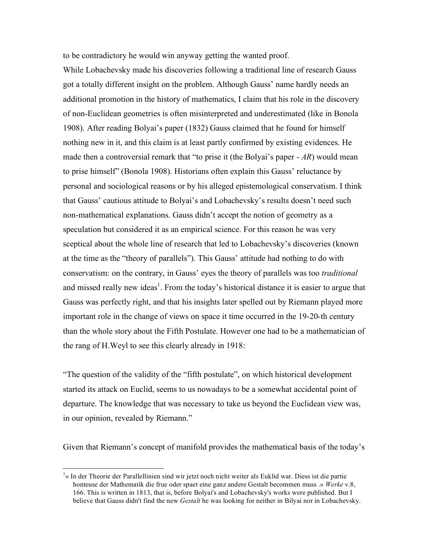to be contradictory he would win anyway getting the wanted proof.

While Lobachevsky made his discoveries following a traditional line of research Gauss got a totally different insight on the problem. Although Gauss' name hardly needs an additional promotion in the history of mathematics, I claim that his role in the discovery of non-Euclidean geometries is often misinterpreted and underestimated (like in Bonola 1908). After reading Bolyai's paper (1832) Gauss claimed that he found for himself nothing new in it, and this claim is at least partly confirmed by existing evidences. He made then a controversial remark that "to prise it (the Bolyai's paper - *AR*) would mean to prise himself" (Bonola 1908). Historians often explain this Gauss' reluctance by personal and sociological reasons or by his alleged epistemological conservatism. I think that Gauss' cautious attitude to Bolyai's and Lobachevsky's results doesn't need such non-mathematical explanations. Gauss didn't accept the notion of geometry as a speculation but considered it as an empirical science. For this reason he was very sceptical about the whole line of research that led to Lobachevsky's discoveries (known at the time as the "theory of parallels"). This Gauss' attitude had nothing to do with conservatism: on the contrary, in Gauss' eyes the theory of parallels was too *traditional* and missed really new ideas<sup>1</sup>. From the today's historical distance it is easier to argue that Gauss was perfectly right, and that his insights later spelled out by Riemann played more important role in the change of views on space it time occurred in the 19-20-th century than the whole story about the Fifth Postulate. However one had to be a mathematician of the rang of H.Weyl to see this clearly already in 1918:

"The question of the validity of the "fifth postulate", on which historical development started its attack on Euclid, seems to us nowadays to be a somewhat accidental point of departure. The knowledge that was necessary to take us beyond the Euclidean view was, in our opinion, revealed by Riemann."

Given that Riemann's concept of manifold provides the mathematical basis of the today's

 $\frac{1}{1}$ <sup>1</sup>« In der Theorie der Parallellinien sind wir jetzt noch nicht weiter als Euklid war. Diess ist die partie honteuse der Mathematik die frue oder spaet eine ganz andere Gestalt becommen muss .» *Werke* v.8, 166. This is written in 1813, that is, before Bolyai's and Lobachevsky's works were published. But I believe that Gauss didn't find the new *Gestalt* he was looking for neither in Bilyai nor in Lobachevsky.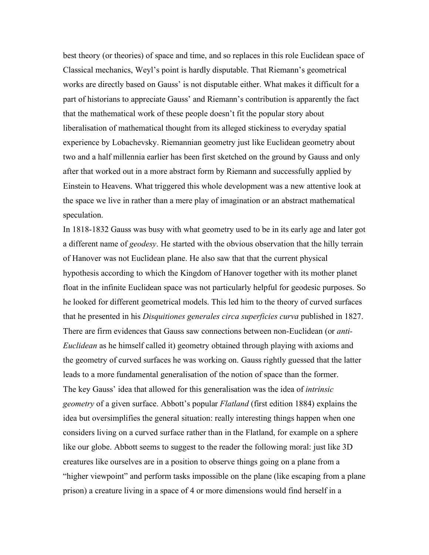best theory (or theories) of space and time, and so replaces in this role Euclidean space of Classical mechanics, Weyl's point is hardly disputable. That Riemann's geometrical works are directly based on Gauss' is not disputable either. What makes it difficult for a part of historians to appreciate Gauss' and Riemann's contribution is apparently the fact that the mathematical work of these people doesn't fit the popular story about liberalisation of mathematical thought from its alleged stickiness to everyday spatial experience by Lobachevsky. Riemannian geometry just like Euclidean geometry about two and a half millennia earlier has been first sketched on the ground by Gauss and only after that worked out in a more abstract form by Riemann and successfully applied by Einstein to Heavens. What triggered this whole development was a new attentive look at the space we live in rather than a mere play of imagination or an abstract mathematical speculation.

In 1818-1832 Gauss was busy with what geometry used to be in its early age and later got a different name of *geodesy*. He started with the obvious observation that the hilly terrain of Hanover was not Euclidean plane. He also saw that that the current physical hypothesis according to which the Kingdom of Hanover together with its mother planet float in the infinite Euclidean space was not particularly helpful for geodesic purposes. So he looked for different geometrical models. This led him to the theory of curved surfaces that he presented in his *Disquitiones generales circa superficies curva* published in 1827. There are firm evidences that Gauss saw connections between non-Euclidean (or *anti-Euclidean* as he himself called it) geometry obtained through playing with axioms and the geometry of curved surfaces he was working on. Gauss rightly guessed that the latter leads to a more fundamental generalisation of the notion of space than the former. The key Gauss' idea that allowed for this generalisation was the idea of *intrinsic geometry* of a given surface. Abbott's popular *Flatland* (first edition 1884) explains the idea but oversimplifies the general situation: really interesting things happen when one considers living on a curved surface rather than in the Flatland, for example on a sphere like our globe. Abbott seems to suggest to the reader the following moral: just like 3D creatures like ourselves are in a position to observe things going on a plane from a "higher viewpoint" and perform tasks impossible on the plane (like escaping from a plane prison) a creature living in a space of 4 or more dimensions would find herself in a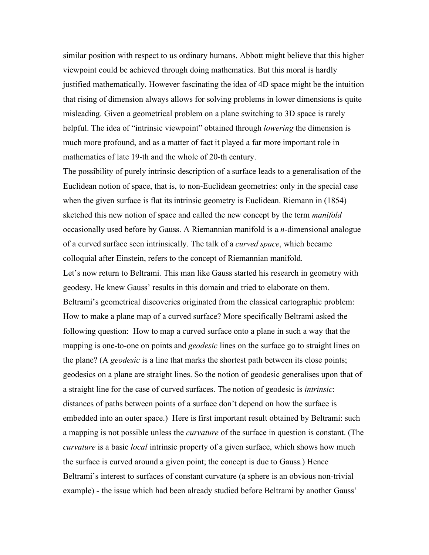similar position with respect to us ordinary humans. Abbott might believe that this higher viewpoint could be achieved through doing mathematics. But this moral is hardly justified mathematically. However fascinating the idea of 4D space might be the intuition that rising of dimension always allows for solving problems in lower dimensions is quite misleading. Given a geometrical problem on a plane switching to 3D space is rarely helpful. The idea of "intrinsic viewpoint" obtained through *lowering* the dimension is much more profound, and as a matter of fact it played a far more important role in mathematics of late 19-th and the whole of 20-th century.

The possibility of purely intrinsic description of a surface leads to a generalisation of the Euclidean notion of space, that is, to non-Euclidean geometries: only in the special case when the given surface is flat its intrinsic geometry is Euclidean. Riemann in (1854) sketched this new notion of space and called the new concept by the term *manifold* occasionally used before by Gauss. A Riemannian manifold is a *n*-dimensional analogue of a curved surface seen intrinsically. The talk of a *curved space*, which became colloquial after Einstein, refers to the concept of Riemannian manifold. Let's now return to Beltrami. This man like Gauss started his research in geometry with geodesy. He knew Gauss' results in this domain and tried to elaborate on them. Beltrami's geometrical discoveries originated from the classical cartographic problem: How to make a plane map of a curved surface? More specifically Beltrami asked the following question: How to map a curved surface onto a plane in such a way that the mapping is one-to-one on points and *geodesic* lines on the surface go to straight lines on the plane? (A *geodesic* is a line that marks the shortest path between its close points; geodesics on a plane are straight lines. So the notion of geodesic generalises upon that of a straight line for the case of curved surfaces. The notion of geodesic is *intrinsic*: distances of paths between points of a surface don't depend on how the surface is embedded into an outer space.) Here is first important result obtained by Beltrami: such a mapping is not possible unless the *curvature* of the surface in question is constant. (The *curvature* is a basic *local* intrinsic property of a given surface, which shows how much the surface is curved around a given point; the concept is due to Gauss.) Hence Beltrami's interest to surfaces of constant curvature (a sphere is an obvious non-trivial example) - the issue which had been already studied before Beltrami by another Gauss'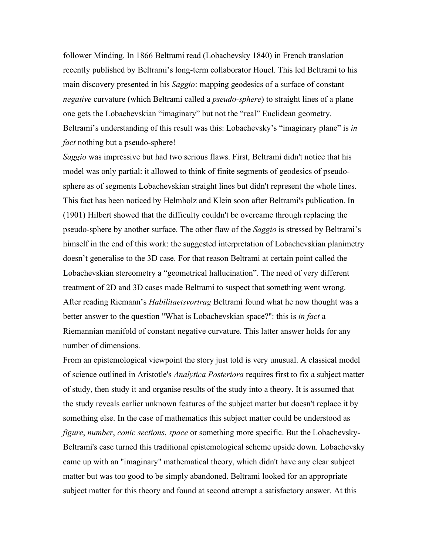follower Minding. In 1866 Beltrami read (Lobachevsky 1840) in French translation recently published by Beltrami's long-term collaborator Houel. This led Beltrami to his main discovery presented in his *Saggio*: mapping geodesics of a surface of constant *negative* curvature (which Beltrami called a *pseudo-sphere*) to straight lines of a plane one gets the Lobachevskian "imaginary" but not the "real" Euclidean geometry. Beltrami's understanding of this result was this: Lobachevsky's "imaginary plane" is *in fact* nothing but a pseudo-sphere!

*Saggio* was impressive but had two serious flaws. First, Beltrami didn't notice that his model was only partial: it allowed to think of finite segments of geodesics of pseudosphere as of segments Lobachevskian straight lines but didn't represent the whole lines. This fact has been noticed by Helmholz and Klein soon after Beltrami's publication. In (1901) Hilbert showed that the difficulty couldn't be overcame through replacing the pseudo-sphere by another surface. The other flaw of the *Saggio* is stressed by Beltrami's himself in the end of this work: the suggested interpretation of Lobachevskian planimetry doesn't generalise to the 3D case. For that reason Beltrami at certain point called the Lobachevskian stereometry a "geometrical hallucination". The need of very different treatment of 2D and 3D cases made Beltrami to suspect that something went wrong. After reading Riemann's *Habilitaetsvortrag* Beltrami found what he now thought was a better answer to the question "What is Lobachevskian space?": this is *in fact* a Riemannian manifold of constant negative curvature. This latter answer holds for any number of dimensions.

From an epistemological viewpoint the story just told is very unusual. A classical model of science outlined in Aristotle's *Analytica Posteriora* requires first to fix a subject matter of study, then study it and organise results of the study into a theory. It is assumed that the study reveals earlier unknown features of the subject matter but doesn't replace it by something else. In the case of mathematics this subject matter could be understood as *figure*, *number*, *conic sections*, *space* or something more specific. But the Lobachevsky-Beltrami's case turned this traditional epistemological scheme upside down. Lobachevsky came up with an "imaginary" mathematical theory, which didn't have any clear subject matter but was too good to be simply abandoned. Beltrami looked for an appropriate subject matter for this theory and found at second attempt a satisfactory answer. At this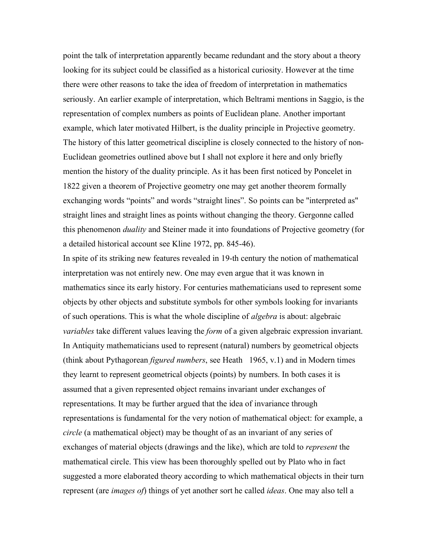point the talk of interpretation apparently became redundant and the story about a theory looking for its subject could be classified as a historical curiosity. However at the time there were other reasons to take the idea of freedom of interpretation in mathematics seriously. An earlier example of interpretation, which Beltrami mentions in Saggio, is the representation of complex numbers as points of Euclidean plane. Another important example, which later motivated Hilbert, is the duality principle in Projective geometry. The history of this latter geometrical discipline is closely connected to the history of non-Euclidean geometries outlined above but I shall not explore it here and only briefly mention the history of the duality principle. As it has been first noticed by Poncelet in 1822 given a theorem of Projective geometry one may get another theorem formally exchanging words "points" and words "straight lines". So points can be "interpreted as" straight lines and straight lines as points without changing the theory. Gergonne called this phenomenon *duality* and Steiner made it into foundations of Projective geometry (for a detailed historical account see Kline 1972, pp. 845-46).

In spite of its striking new features revealed in 19-th century the notion of mathematical interpretation was not entirely new. One may even argue that it was known in mathematics since its early history. For centuries mathematicians used to represent some objects by other objects and substitute symbols for other symbols looking for invariants of such operations. This is what the whole discipline of *algebra* is about: algebraic *variables* take different values leaving the *form* of a given algebraic expression invariant. In Antiquity mathematicians used to represent (natural) numbers by geometrical objects (think about Pythagorean *figured numbers*, see Heath 1965, v.1) and in Modern times they learnt to represent geometrical objects (points) by numbers. In both cases it is assumed that a given represented object remains invariant under exchanges of representations. It may be further argued that the idea of invariance through representations is fundamental for the very notion of mathematical object: for example, a *circle* (a mathematical object) may be thought of as an invariant of any series of exchanges of material objects (drawings and the like), which are told to *represent* the mathematical circle. This view has been thoroughly spelled out by Plato who in fact suggested a more elaborated theory according to which mathematical objects in their turn represent (are *images of*) things of yet another sort he called *ideas*. One may also tell a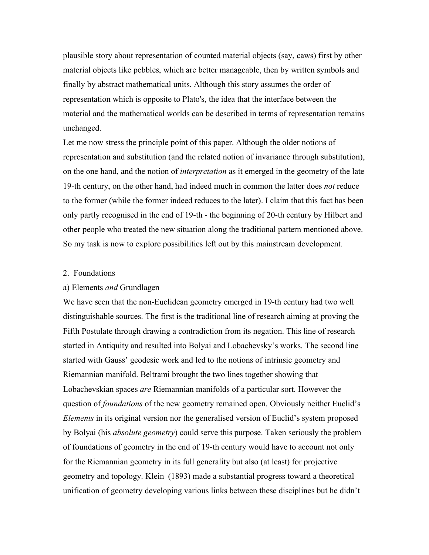plausible story about representation of counted material objects (say, caws) first by other material objects like pebbles, which are better manageable, then by written symbols and finally by abstract mathematical units. Although this story assumes the order of representation which is opposite to Plato's, the idea that the interface between the material and the mathematical worlds can be described in terms of representation remains unchanged.

Let me now stress the principle point of this paper. Although the older notions of representation and substitution (and the related notion of invariance through substitution), on the one hand, and the notion of *interpretation* as it emerged in the geometry of the late 19-th century, on the other hand, had indeed much in common the latter does *not* reduce to the former (while the former indeed reduces to the later). I claim that this fact has been only partly recognised in the end of 19-th - the beginning of 20-th century by Hilbert and other people who treated the new situation along the traditional pattern mentioned above. So my task is now to explore possibilities left out by this mainstream development.

#### 2. Foundations

#### a) Elements *and* Grundlagen

We have seen that the non-Euclidean geometry emerged in 19-th century had two well distinguishable sources. The first is the traditional line of research aiming at proving the Fifth Postulate through drawing a contradiction from its negation. This line of research started in Antiquity and resulted into Bolyai and Lobachevsky's works. The second line started with Gauss' geodesic work and led to the notions of intrinsic geometry and Riemannian manifold. Beltrami brought the two lines together showing that Lobachevskian spaces *are* Riemannian manifolds of a particular sort. However the question of *foundations* of the new geometry remained open. Obviously neither Euclid's *Elements* in its original version nor the generalised version of Euclid's system proposed by Bolyai (his *absolute geometry*) could serve this purpose. Taken seriously the problem of foundations of geometry in the end of 19-th century would have to account not only for the Riemannian geometry in its full generality but also (at least) for projective geometry and topology. Klein (1893) made a substantial progress toward a theoretical unification of geometry developing various links between these disciplines but he didn't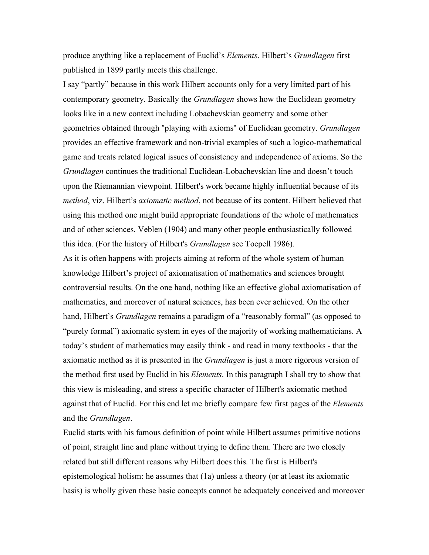produce anything like a replacement of Euclid's *Elements*. Hilbert's *Grundlagen* first published in 1899 partly meets this challenge.

I say "partly" because in this work Hilbert accounts only for a very limited part of his contemporary geometry. Basically the *Grundlagen* shows how the Euclidean geometry looks like in a new context including Lobachevskian geometry and some other geometries obtained through "playing with axioms" of Euclidean geometry. *Grundlagen* provides an effective framework and non-trivial examples of such a logico-mathematical game and treats related logical issues of consistency and independence of axioms. So the *Grundlagen* continues the traditional Euclidean-Lobachevskian line and doesn't touch upon the Riemannian viewpoint. Hilbert's work became highly influential because of its *method*, viz. Hilbert's *axiomatic method*, not because of its content. Hilbert believed that using this method one might build appropriate foundations of the whole of mathematics and of other sciences. Veblen (1904) and many other people enthusiastically followed this idea. (For the history of Hilbert's *Grundlagen* see Toepell 1986).

As it is often happens with projects aiming at reform of the whole system of human knowledge Hilbert's project of axiomatisation of mathematics and sciences brought controversial results. On the one hand, nothing like an effective global axiomatisation of mathematics, and moreover of natural sciences, has been ever achieved. On the other hand, Hilbert's *Grundlagen* remains a paradigm of a "reasonably formal" (as opposed to "purely formal") axiomatic system in eyes of the majority of working mathematicians. A today's student of mathematics may easily think - and read in many textbooks - that the axiomatic method as it is presented in the *Grundlagen* is just a more rigorous version of the method first used by Euclid in his *Elements*. In this paragraph I shall try to show that this view is misleading, and stress a specific character of Hilbert's axiomatic method against that of Euclid. For this end let me briefly compare few first pages of the *Elements* and the *Grundlagen*.

Euclid starts with his famous definition of point while Hilbert assumes primitive notions of point, straight line and plane without trying to define them. There are two closely related but still different reasons why Hilbert does this. The first is Hilbert's epistemological holism: he assumes that (1a) unless a theory (or at least its axiomatic basis) is wholly given these basic concepts cannot be adequately conceived and moreover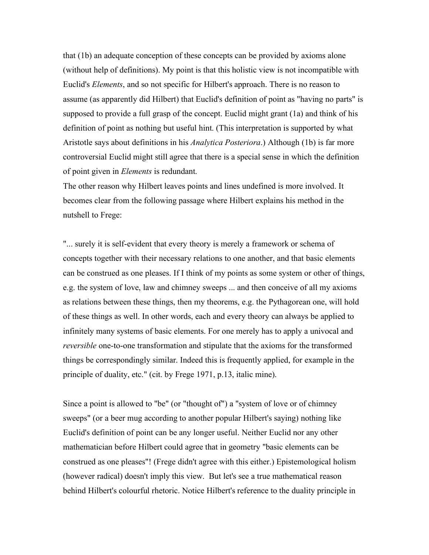that (1b) an adequate conception of these concepts can be provided by axioms alone (without help of definitions). My point is that this holistic view is not incompatible with Euclid's *Elements*, and so not specific for Hilbert's approach. There is no reason to assume (as apparently did Hilbert) that Euclid's definition of point as "having no parts" is supposed to provide a full grasp of the concept. Euclid might grant (1a) and think of his definition of point as nothing but useful hint. (This interpretation is supported by what Aristotle says about definitions in his *Analytica Posteriora*.) Although (1b) is far more controversial Euclid might still agree that there is a special sense in which the definition of point given in *Elements* is redundant.

The other reason why Hilbert leaves points and lines undefined is more involved. It becomes clear from the following passage where Hilbert explains his method in the nutshell to Frege:

"... surely it is self-evident that every theory is merely a framework or schema of concepts together with their necessary relations to one another, and that basic elements can be construed as one pleases. If I think of my points as some system or other of things, e.g. the system of love, law and chimney sweeps ... and then conceive of all my axioms as relations between these things, then my theorems, e.g. the Pythagorean one, will hold of these things as well. In other words, each and every theory can always be applied to infinitely many systems of basic elements. For one merely has to apply a univocal and *reversible* one-to-one transformation and stipulate that the axioms for the transformed things be correspondingly similar. Indeed this is frequently applied, for example in the principle of duality, etc." (cit. by Frege 1971, p.13, italic mine).

Since a point is allowed to "be" (or "thought of") a "system of love or of chimney sweeps" (or a beer mug according to another popular Hilbert's saying) nothing like Euclid's definition of point can be any longer useful. Neither Euclid nor any other mathematician before Hilbert could agree that in geometry "basic elements can be construed as one pleases"! (Frege didn't agree with this either.) Epistemological holism (however radical) doesn't imply this view. But let's see a true mathematical reason behind Hilbert's colourful rhetoric. Notice Hilbert's reference to the duality principle in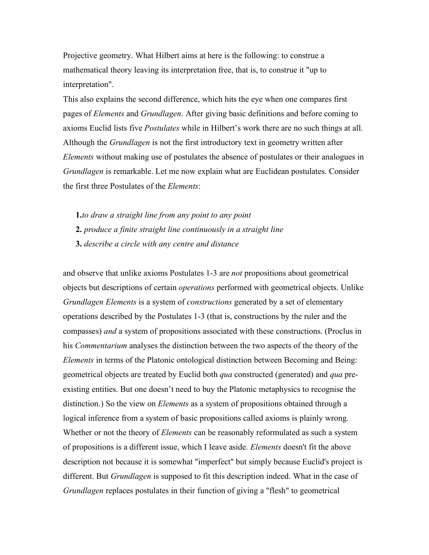Projective geometry. What Hilbert aims at here is the following: to construe a mathematical theory leaving its interpretation free, that is, to construe it "up to interpretation".

This also explains the second difference, which hits the eye when one compares first pages of *Elements* and *Grundlagen*. After giving basic definitions and before coming to axioms Euclid lists five *Postulates* while in Hilbert's work there are no such things at all. Although the *Grundlagen* is not the first introductory text in geometry written after *Elements* without making use of postulates the absence of postulates or their analogues in *Grundlagen* is remarkable. Let me now explain what are Euclidean postulates. Consider the first three Postulates of the *Elements*:

- **1.***to draw a straight line from any point to any point*
- **2.** *produce a finite straight line continuously in a straight line*
- **3.** *describe a circle with any centre and distance*

and observe that unlike axioms Postulates 1-3 are *not* propositions about geometrical objects but descriptions of certain *operations* performed with geometrical objects. Unlike *Grundlagen Elements* is a system of *constructions* generated by a set of elementary operations described by the Postulates 1-3 (that is, constructions by the ruler and the compasses) *and* a system of propositions associated with these constructions. (Proclus in his *Commentarium* analyses the distinction between the two aspects of the theory of the *Elements* in terms of the Platonic ontological distinction between Becoming and Being: geometrical objects are treated by Euclid both *qua* constructed (generated) and *qua* preexisting entities. But one doesn't need to buy the Platonic metaphysics to recognise the distinction.) So the view on *Elements* as a system of propositions obtained through a logical inference from a system of basic propositions called axioms is plainly wrong. Whether or not the theory of *Elements* can be reasonably reformulated as such a system of propositions is a different issue, which I leave aside. *Elements* doesn't fit the above description not because it is somewhat "imperfect" but simply because Euclid's project is different. But *Grundlagen* is supposed to fit this description indeed. What in the case of *Grundlagen* replaces postulates in their function of giving a "flesh" to geometrical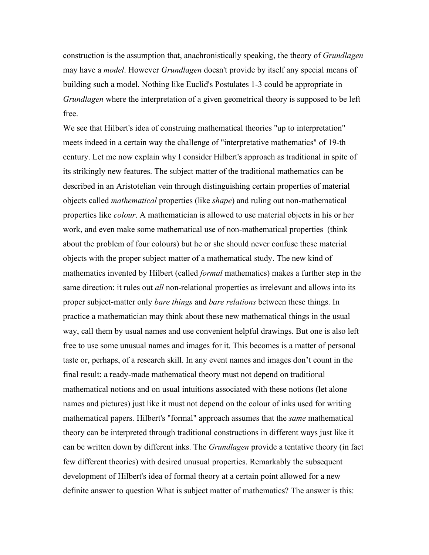construction is the assumption that, anachronistically speaking, the theory of *Grundlagen* may have a *model*. However *Grundlagen* doesn't provide by itself any special means of building such a model. Nothing like Euclid's Postulates 1-3 could be appropriate in *Grundlagen* where the interpretation of a given geometrical theory is supposed to be left free.

We see that Hilbert's idea of construing mathematical theories "up to interpretation" meets indeed in a certain way the challenge of "interpretative mathematics" of 19-th century. Let me now explain why I consider Hilbert's approach as traditional in spite of its strikingly new features. The subject matter of the traditional mathematics can be described in an Aristotelian vein through distinguishing certain properties of material objects called *mathematical* properties (like *shape*) and ruling out non-mathematical properties like *colour*. A mathematician is allowed to use material objects in his or her work, and even make some mathematical use of non-mathematical properties (think about the problem of four colours) but he or she should never confuse these material objects with the proper subject matter of a mathematical study. The new kind of mathematics invented by Hilbert (called *formal* mathematics) makes a further step in the same direction: it rules out *all* non-relational properties as irrelevant and allows into its proper subject-matter only *bare things* and *bare relations* between these things. In practice a mathematician may think about these new mathematical things in the usual way, call them by usual names and use convenient helpful drawings. But one is also left free to use some unusual names and images for it. This becomes is a matter of personal taste or, perhaps, of a research skill. In any event names and images don't count in the final result: a ready-made mathematical theory must not depend on traditional mathematical notions and on usual intuitions associated with these notions (let alone names and pictures) just like it must not depend on the colour of inks used for writing mathematical papers. Hilbert's "formal" approach assumes that the *same* mathematical theory can be interpreted through traditional constructions in different ways just like it can be written down by different inks. The *Grundlagen* provide a tentative theory (in fact few different theories) with desired unusual properties. Remarkably the subsequent development of Hilbert's idea of formal theory at a certain point allowed for a new definite answer to question What is subject matter of mathematics? The answer is this: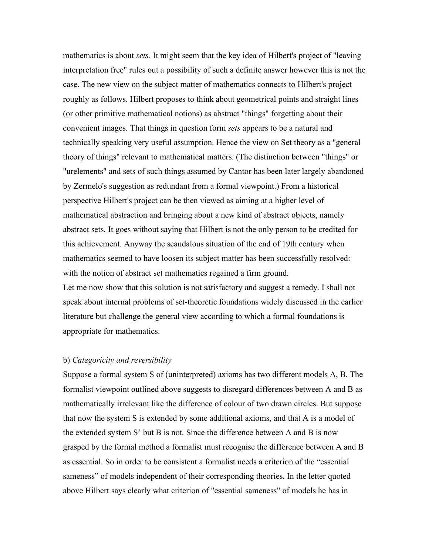mathematics is about *sets.* It might seem that the key idea of Hilbert's project of "leaving interpretation free" rules out a possibility of such a definite answer however this is not the case. The new view on the subject matter of mathematics connects to Hilbert's project roughly as follows. Hilbert proposes to think about geometrical points and straight lines (or other primitive mathematical notions) as abstract "things" forgetting about their convenient images. That things in question form *sets* appears to be a natural and technically speaking very useful assumption. Hence the view on Set theory as a "general theory of things" relevant to mathematical matters. (The distinction between "things" or "urelements" and sets of such things assumed by Cantor has been later largely abandoned by Zermelo's suggestion as redundant from a formal viewpoint.) From a historical perspective Hilbert's project can be then viewed as aiming at a higher level of mathematical abstraction and bringing about a new kind of abstract objects, namely abstract sets. It goes without saying that Hilbert is not the only person to be credited for this achievement. Anyway the scandalous situation of the end of 19th century when mathematics seemed to have loosen its subject matter has been successfully resolved: with the notion of abstract set mathematics regained a firm ground. Let me now show that this solution is not satisfactory and suggest a remedy. I shall not speak about internal problems of set-theoretic foundations widely discussed in the earlier literature but challenge the general view according to which a formal foundations is appropriate for mathematics.

## b) *Categoricity and reversibility*

Suppose a formal system S of (uninterpreted) axioms has two different models A, B. The formalist viewpoint outlined above suggests to disregard differences between A and B as mathematically irrelevant like the difference of colour of two drawn circles. But suppose that now the system S is extended by some additional axioms, and that A is a model of the extended system S' but B is not. Since the difference between A and B is now grasped by the formal method a formalist must recognise the difference between A and B as essential. So in order to be consistent a formalist needs a criterion of the "essential sameness" of models independent of their corresponding theories. In the letter quoted above Hilbert says clearly what criterion of "essential sameness" of models he has in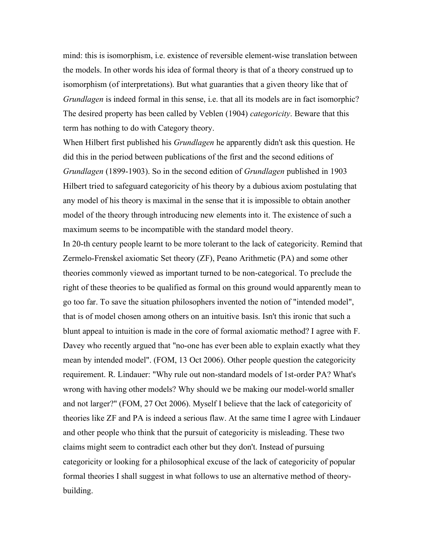mind: this is isomorphism, i.e. existence of reversible element-wise translation between the models. In other words his idea of formal theory is that of a theory construed up to isomorphism (of interpretations). But what guaranties that a given theory like that of *Grundlagen* is indeed formal in this sense, i.e. that all its models are in fact isomorphic? The desired property has been called by Veblen (1904) *categoricity*. Beware that this term has nothing to do with Category theory.

When Hilbert first published his *Grundlagen* he apparently didn't ask this question. He did this in the period between publications of the first and the second editions of *Grundlagen* (1899-1903). So in the second edition of *Grundlagen* published in 1903 Hilbert tried to safeguard categoricity of his theory by a dubious axiom postulating that any model of his theory is maximal in the sense that it is impossible to obtain another model of the theory through introducing new elements into it. The existence of such a maximum seems to be incompatible with the standard model theory.

In 20-th century people learnt to be more tolerant to the lack of categoricity. Remind that Zermelo-Frenskel axiomatic Set theory (ZF), Peano Arithmetic (PA) and some other theories commonly viewed as important turned to be non-categorical. To preclude the right of these theories to be qualified as formal on this ground would apparently mean to go too far. To save the situation philosophers invented the notion of "intended model", that is of model chosen among others on an intuitive basis. Isn't this ironic that such a blunt appeal to intuition is made in the core of formal axiomatic method? I agree with F. Davey who recently argued that "no-one has ever been able to explain exactly what they mean by intended model". (FOM, 13 Oct 2006). Other people question the categoricity requirement. R. Lindauer: "Why rule out non-standard models of 1st-order PA? What's wrong with having other models? Why should we be making our model-world smaller and not larger?" (FOM, 27 Oct 2006). Myself I believe that the lack of categoricity of theories like ZF and PA is indeed a serious flaw. At the same time I agree with Lindauer and other people who think that the pursuit of categoricity is misleading. These two claims might seem to contradict each other but they don't. Instead of pursuing categoricity or looking for a philosophical excuse of the lack of categoricity of popular formal theories I shall suggest in what follows to use an alternative method of theorybuilding.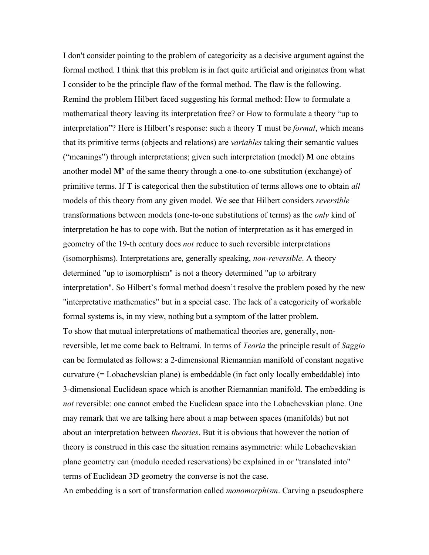I don't consider pointing to the problem of categoricity as a decisive argument against the formal method. I think that this problem is in fact quite artificial and originates from what I consider to be the principle flaw of the formal method. The flaw is the following. Remind the problem Hilbert faced suggesting his formal method: How to formulate a mathematical theory leaving its interpretation free? or How to formulate a theory "up to interpretation"? Here is Hilbert's response: such a theory **T** must be *formal*, which means that its primitive terms (objects and relations) are *variables* taking their semantic values ("meanings") through interpretations; given such interpretation (model) **M** one obtains another model **M'** of the same theory through a one-to-one substitution (exchange) of primitive terms. If **T** is categorical then the substitution of terms allows one to obtain *all* models of this theory from any given model. We see that Hilbert considers *reversible* transformations between models (one-to-one substitutions of terms) as the *only* kind of interpretation he has to cope with. But the notion of interpretation as it has emerged in geometry of the 19-th century does *not* reduce to such reversible interpretations (isomorphisms). Interpretations are, generally speaking, *non-reversible*. A theory determined "up to isomorphism" is not a theory determined "up to arbitrary interpretation". So Hilbert's formal method doesn't resolve the problem posed by the new "interpretative mathematics" but in a special case. The lack of a categoricity of workable formal systems is, in my view, nothing but a symptom of the latter problem. To show that mutual interpretations of mathematical theories are, generally, nonreversible, let me come back to Beltrami. In terms of *Teoria* the principle result of *Saggio* can be formulated as follows: a 2-dimensional Riemannian manifold of constant negative curvature (= Lobachevskian plane) is embeddable (in fact only locally embeddable) into 3-dimensional Euclidean space which is another Riemannian manifold. The embedding is *not* reversible: one cannot embed the Euclidean space into the Lobachevskian plane. One may remark that we are talking here about a map between spaces (manifolds) but not about an interpretation between *theories*. But it is obvious that however the notion of theory is construed in this case the situation remains asymmetric: while Lobachevskian plane geometry can (modulo needed reservations) be explained in or "translated into" terms of Euclidean 3D geometry the converse is not the case.

An embedding is a sort of transformation called *monomorphism*. Carving a pseudosphere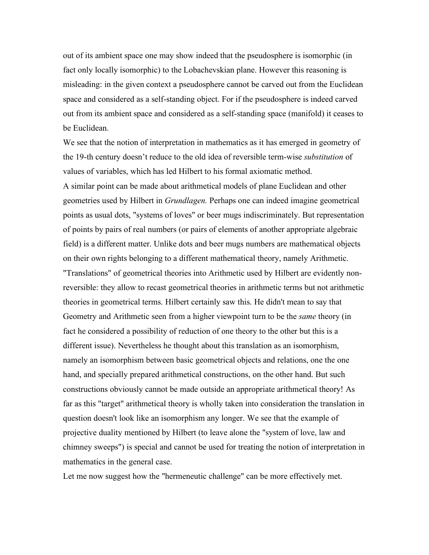out of its ambient space one may show indeed that the pseudosphere is isomorphic (in fact only locally isomorphic) to the Lobachevskian plane. However this reasoning is misleading: in the given context a pseudosphere cannot be carved out from the Euclidean space and considered as a self-standing object. For if the pseudosphere is indeed carved out from its ambient space and considered as a self-standing space (manifold) it ceases to be Euclidean.

We see that the notion of interpretation in mathematics as it has emerged in geometry of the 19-th century doesn't reduce to the old idea of reversible term-wise *substitution* of values of variables, which has led Hilbert to his formal axiomatic method. A similar point can be made about arithmetical models of plane Euclidean and other geometries used by Hilbert in *Grundlagen.* Perhaps one can indeed imagine geometrical points as usual dots, "systems of loves" or beer mugs indiscriminately. But representation of points by pairs of real numbers (or pairs of elements of another appropriate algebraic field) is a different matter. Unlike dots and beer mugs numbers are mathematical objects on their own rights belonging to a different mathematical theory, namely Arithmetic. "Translations" of geometrical theories into Arithmetic used by Hilbert are evidently nonreversible: they allow to recast geometrical theories in arithmetic terms but not arithmetic theories in geometrical terms. Hilbert certainly saw this. He didn't mean to say that Geometry and Arithmetic seen from a higher viewpoint turn to be the *same* theory (in fact he considered a possibility of reduction of one theory to the other but this is a different issue). Nevertheless he thought about this translation as an isomorphism, namely an isomorphism between basic geometrical objects and relations, one the one hand, and specially prepared arithmetical constructions, on the other hand. But such constructions obviously cannot be made outside an appropriate arithmetical theory! As far as this "target" arithmetical theory is wholly taken into consideration the translation in question doesn't look like an isomorphism any longer. We see that the example of projective duality mentioned by Hilbert (to leave alone the "system of love, law and chimney sweeps") is special and cannot be used for treating the notion of interpretation in mathematics in the general case.

Let me now suggest how the "hermeneutic challenge" can be more effectively met.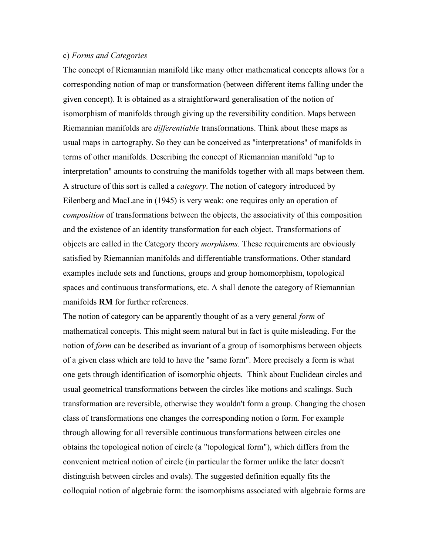## c) *Forms and Categories*

The concept of Riemannian manifold like many other mathematical concepts allows for a corresponding notion of map or transformation (between different items falling under the given concept). It is obtained as a straightforward generalisation of the notion of isomorphism of manifolds through giving up the reversibility condition. Maps between Riemannian manifolds are *differentiable* transformations. Think about these maps as usual maps in cartography. So they can be conceived as "interpretations" of manifolds in terms of other manifolds. Describing the concept of Riemannian manifold "up to interpretation" amounts to construing the manifolds together with all maps between them. A structure of this sort is called a *category*. The notion of category introduced by Eilenberg and MacLane in (1945) is very weak: one requires only an operation of *composition* of transformations between the objects, the associativity of this composition and the existence of an identity transformation for each object. Transformations of objects are called in the Category theory *morphisms*. These requirements are obviously satisfied by Riemannian manifolds and differentiable transformations. Other standard examples include sets and functions, groups and group homomorphism, topological spaces and continuous transformations, etc. A shall denote the category of Riemannian manifolds **RM** for further references.

The notion of category can be apparently thought of as a very general *form* of mathematical concepts. This might seem natural but in fact is quite misleading. For the notion of *form* can be described as invariant of a group of isomorphisms between objects of a given class which are told to have the "same form". More precisely a form is what one gets through identification of isomorphic objects. Think about Euclidean circles and usual geometrical transformations between the circles like motions and scalings. Such transformation are reversible, otherwise they wouldn't form a group. Changing the chosen class of transformations one changes the corresponding notion o form. For example through allowing for all reversible continuous transformations between circles one obtains the topological notion of circle (a "topological form"), which differs from the convenient metrical notion of circle (in particular the former unlike the later doesn't distinguish between circles and ovals). The suggested definition equally fits the colloquial notion of algebraic form: the isomorphisms associated with algebraic forms are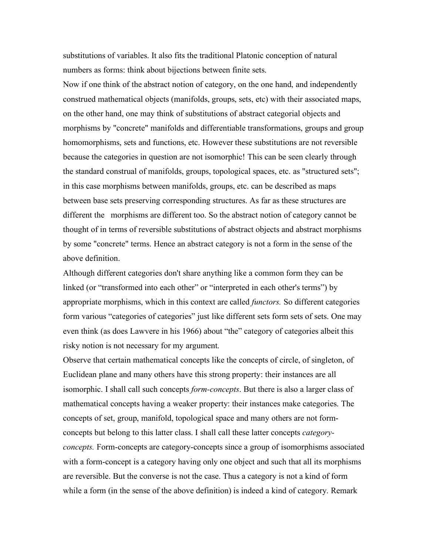substitutions of variables. It also fits the traditional Platonic conception of natural numbers as forms: think about bijections between finite sets.

Now if one think of the abstract notion of category, on the one hand, and independently construed mathematical objects (manifolds, groups, sets, etc) with their associated maps, on the other hand, one may think of substitutions of abstract categorial objects and morphisms by "concrete" manifolds and differentiable transformations, groups and group homomorphisms, sets and functions, etc. However these substitutions are not reversible because the categories in question are not isomorphic! This can be seen clearly through the standard construal of manifolds, groups, topological spaces, etc. as "structured sets"; in this case morphisms between manifolds, groups, etc. can be described as maps between base sets preserving corresponding structures. As far as these structures are different the morphisms are different too. So the abstract notion of category cannot be thought of in terms of reversible substitutions of abstract objects and abstract morphisms by some "concrete" terms. Hence an abstract category is not a form in the sense of the above definition.

Although different categories don't share anything like a common form they can be linked (or "transformed into each other" or "interpreted in each other's terms") by appropriate morphisms, which in this context are called *functors.* So different categories form various "categories of categories" just like different sets form sets of sets. One may even think (as does Lawvere in his 1966) about "the" category of categories albeit this risky notion is not necessary for my argument.

Observe that certain mathematical concepts like the concepts of circle, of singleton, of Euclidean plane and many others have this strong property: their instances are all isomorphic. I shall call such concepts *form-concepts*. But there is also a larger class of mathematical concepts having a weaker property: their instances make categories. The concepts of set, group, manifold, topological space and many others are not formconcepts but belong to this latter class. I shall call these latter concepts *categoryconcepts.* Form-concepts are category-concepts since a group of isomorphisms associated with a form-concept is a category having only one object and such that all its morphisms are reversible. But the converse is not the case. Thus a category is not a kind of form while a form (in the sense of the above definition) is indeed a kind of category. Remark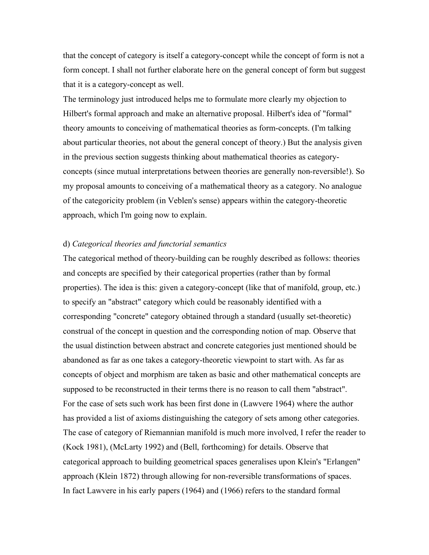that the concept of category is itself a category-concept while the concept of form is not a form concept. I shall not further elaborate here on the general concept of form but suggest that it is a category-concept as well.

The terminology just introduced helps me to formulate more clearly my objection to Hilbert's formal approach and make an alternative proposal. Hilbert's idea of "formal" theory amounts to conceiving of mathematical theories as form-concepts. (I'm talking about particular theories, not about the general concept of theory.) But the analysis given in the previous section suggests thinking about mathematical theories as categoryconcepts (since mutual interpretations between theories are generally non-reversible!). So my proposal amounts to conceiving of a mathematical theory as a category. No analogue of the categoricity problem (in Veblen's sense) appears within the category-theoretic approach, which I'm going now to explain.

## d) *Categorical theories and functorial semantics*

The categorical method of theory-building can be roughly described as follows: theories and concepts are specified by their categorical properties (rather than by formal properties). The idea is this: given a category-concept (like that of manifold, group, etc.) to specify an "abstract" category which could be reasonably identified with a corresponding "concrete" category obtained through a standard (usually set-theoretic) construal of the concept in question and the corresponding notion of map. Observe that the usual distinction between abstract and concrete categories just mentioned should be abandoned as far as one takes a category-theoretic viewpoint to start with. As far as concepts of object and morphism are taken as basic and other mathematical concepts are supposed to be reconstructed in their terms there is no reason to call them "abstract". For the case of sets such work has been first done in (Lawvere 1964) where the author has provided a list of axioms distinguishing the category of sets among other categories. The case of category of Riemannian manifold is much more involved, I refer the reader to (Kock 1981), (McLarty 1992) and (Bell, forthcoming) for details. Observe that categorical approach to building geometrical spaces generalises upon Klein's "Erlangen" approach (Klein 1872) through allowing for non-reversible transformations of spaces. In fact Lawvere in his early papers (1964) and (1966) refers to the standard formal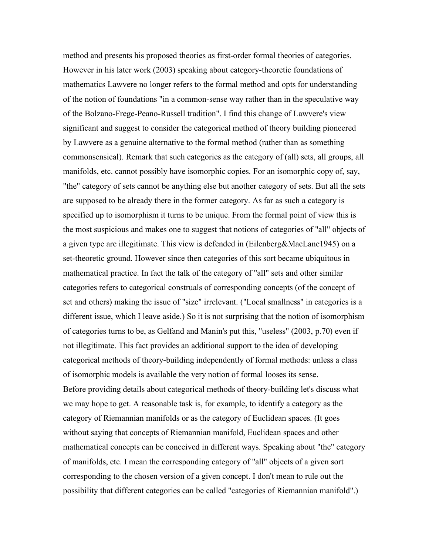method and presents his proposed theories as first-order formal theories of categories. However in his later work (2003) speaking about category-theoretic foundations of mathematics Lawvere no longer refers to the formal method and opts for understanding of the notion of foundations "in a common-sense way rather than in the speculative way of the Bolzano-Frege-Peano-Russell tradition". I find this change of Lawvere's view significant and suggest to consider the categorical method of theory building pioneered by Lawvere as a genuine alternative to the formal method (rather than as something commonsensical). Remark that such categories as the category of (all) sets, all groups, all manifolds, etc. cannot possibly have isomorphic copies. For an isomorphic copy of, say, "the" category of sets cannot be anything else but another category of sets. But all the sets are supposed to be already there in the former category. As far as such a category is specified up to isomorphism it turns to be unique. From the formal point of view this is the most suspicious and makes one to suggest that notions of categories of "all" objects of a given type are illegitimate. This view is defended in (Eilenberg&MacLane1945) on a set-theoretic ground. However since then categories of this sort became ubiquitous in mathematical practice. In fact the talk of the category of "all" sets and other similar categories refers to categorical construals of corresponding concepts (of the concept of set and others) making the issue of "size" irrelevant. ("Local smallness" in categories is a different issue, which I leave aside.) So it is not surprising that the notion of isomorphism of categories turns to be, as Gelfand and Manin's put this, "useless" (2003, p.70) even if not illegitimate. This fact provides an additional support to the idea of developing categorical methods of theory-building independently of formal methods: unless a class of isomorphic models is available the very notion of formal looses its sense. Before providing details about categorical methods of theory-building let's discuss what we may hope to get. A reasonable task is, for example, to identify a category as the category of Riemannian manifolds or as the category of Euclidean spaces. (It goes without saying that concepts of Riemannian manifold, Euclidean spaces and other mathematical concepts can be conceived in different ways. Speaking about "the" category of manifolds, etc. I mean the corresponding category of "all" objects of a given sort corresponding to the chosen version of a given concept. I don't mean to rule out the possibility that different categories can be called "categories of Riemannian manifold".)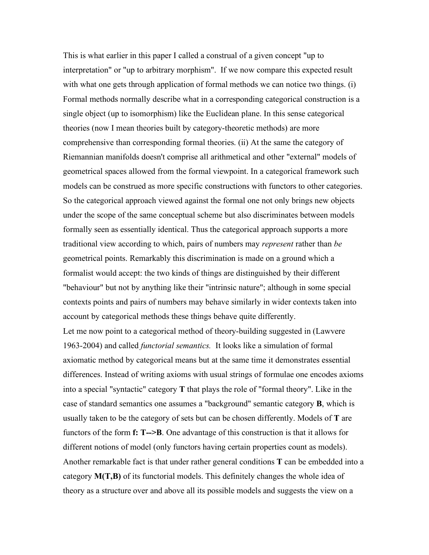This is what earlier in this paper I called a construal of a given concept "up to interpretation" or "up to arbitrary morphism". If we now compare this expected result with what one gets through application of formal methods we can notice two things. (i) Formal methods normally describe what in a corresponding categorical construction is a single object (up to isomorphism) like the Euclidean plane. In this sense categorical theories (now I mean theories built by category-theoretic methods) are more comprehensive than corresponding formal theories. (ii) At the same the category of Riemannian manifolds doesn't comprise all arithmetical and other "external" models of geometrical spaces allowed from the formal viewpoint. In a categorical framework such models can be construed as more specific constructions with functors to other categories. So the categorical approach viewed against the formal one not only brings new objects under the scope of the same conceptual scheme but also discriminates between models formally seen as essentially identical. Thus the categorical approach supports a more traditional view according to which, pairs of numbers may *represent* rather than *be* geometrical points. Remarkably this discrimination is made on a ground which a formalist would accept: the two kinds of things are distinguished by their different "behaviour" but not by anything like their "intrinsic nature"; although in some special contexts points and pairs of numbers may behave similarly in wider contexts taken into account by categorical methods these things behave quite differently.

Let me now point to a categorical method of theory-building suggested in (Lawvere 1963-2004) and called *functorial semantics.* It looks like a simulation of formal axiomatic method by categorical means but at the same time it demonstrates essential differences. Instead of writing axioms with usual strings of formulae one encodes axioms into a special "syntactic" category **T** that plays the role of "formal theory". Like in the case of standard semantics one assumes a "background" semantic category **B**, which is usually taken to be the category of sets but can be chosen differently. Models of **T** are functors of the form **f: T-->B**. One advantage of this construction is that it allows for different notions of model (only functors having certain properties count as models). Another remarkable fact is that under rather general conditions **T** can be embedded into a category **M(T,B)** of its functorial models. This definitely changes the whole idea of theory as a structure over and above all its possible models and suggests the view on a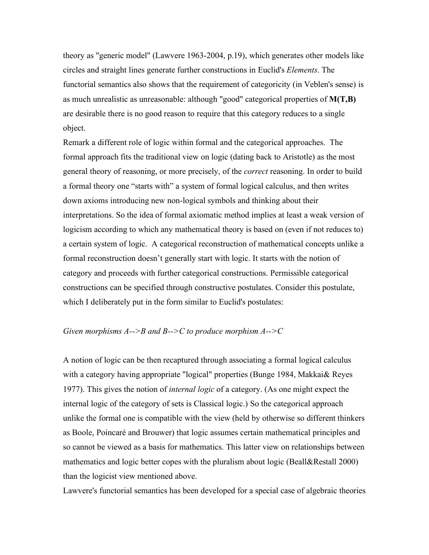theory as "generic model" (Lawvere 1963-2004, p.19), which generates other models like circles and straight lines generate further constructions in Euclid's *Elements*. The functorial semantics also shows that the requirement of categoricity (in Veblen's sense) is as much unrealistic as unreasonable: although "good" categorical properties of **M(T,B)** are desirable there is no good reason to require that this category reduces to a single object.

Remark a different role of logic within formal and the categorical approaches. The formal approach fits the traditional view on logic (dating back to Aristotle) as the most general theory of reasoning, or more precisely, of the *correct* reasoning. In order to build a formal theory one "starts with" a system of formal logical calculus, and then writes down axioms introducing new non-logical symbols and thinking about their interpretations. So the idea of formal axiomatic method implies at least a weak version of logicism according to which any mathematical theory is based on (even if not reduces to) a certain system of logic. A categorical reconstruction of mathematical concepts unlike a formal reconstruction doesn't generally start with logic. It starts with the notion of category and proceeds with further categorical constructions. Permissible categorical constructions can be specified through constructive postulates. Consider this postulate, which I deliberately put in the form similar to Euclid's postulates:

## *Given morphisms A-->B and B-->C to produce morphism A-->C*

A notion of logic can be then recaptured through associating a formal logical calculus with a category having appropriate "logical" properties (Bunge 1984, Makkai& Reyes 1977). This gives the notion of *internal logic* of a category. (As one might expect the internal logic of the category of sets is Classical logic.) So the categorical approach unlike the formal one is compatible with the view (held by otherwise so different thinkers as Boole, Poincaré and Brouwer) that logic assumes certain mathematical principles and so cannot be viewed as a basis for mathematics. This latter view on relationships between mathematics and logic better copes with the pluralism about logic (Beall&Restall 2000) than the logicist view mentioned above.

Lawvere's functorial semantics has been developed for a special case of algebraic theories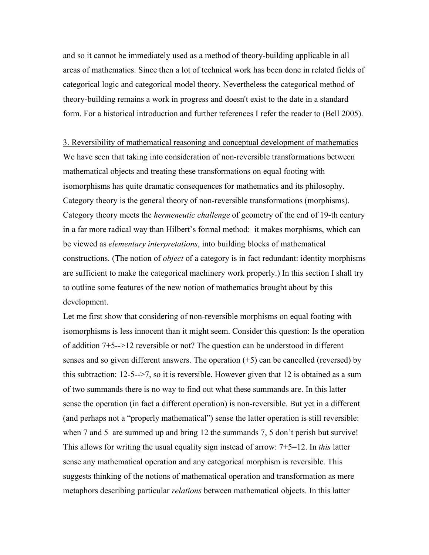and so it cannot be immediately used as a method of theory-building applicable in all areas of mathematics. Since then a lot of technical work has been done in related fields of categorical logic and categorical model theory. Nevertheless the categorical method of theory-building remains a work in progress and doesn't exist to the date in a standard form. For a historical introduction and further references I refer the reader to (Bell 2005).

3. Reversibility of mathematical reasoning and conceptual development of mathematics We have seen that taking into consideration of non-reversible transformations between mathematical objects and treating these transformations on equal footing with isomorphisms has quite dramatic consequences for mathematics and its philosophy. Category theory is the general theory of non-reversible transformations (morphisms). Category theory meets the *hermeneutic challenge* of geometry of the end of 19-th century in a far more radical way than Hilbert's formal method: it makes morphisms, which can be viewed as *elementary interpretations*, into building blocks of mathematical constructions. (The notion of *object* of a category is in fact redundant: identity morphisms are sufficient to make the categorical machinery work properly.) In this section I shall try to outline some features of the new notion of mathematics brought about by this development.

Let me first show that considering of non-reversible morphisms on equal footing with isomorphisms is less innocent than it might seem. Consider this question: Is the operation of addition 7+5-->12 reversible or not? The question can be understood in different senses and so given different answers. The operation (+5) can be cancelled (reversed) by this subtraction: 12-5-->7, so it is reversible. However given that 12 is obtained as a sum of two summands there is no way to find out what these summands are. In this latter sense the operation (in fact a different operation) is non-reversible. But yet in a different (and perhaps not a "properly mathematical") sense the latter operation is still reversible: when 7 and 5 are summed up and bring 12 the summands 7, 5 don't perish but survive! This allows for writing the usual equality sign instead of arrow: 7+5=12. In *this* latter sense any mathematical operation and any categorical morphism is reversible. This suggests thinking of the notions of mathematical operation and transformation as mere metaphors describing particular *relations* between mathematical objects. In this latter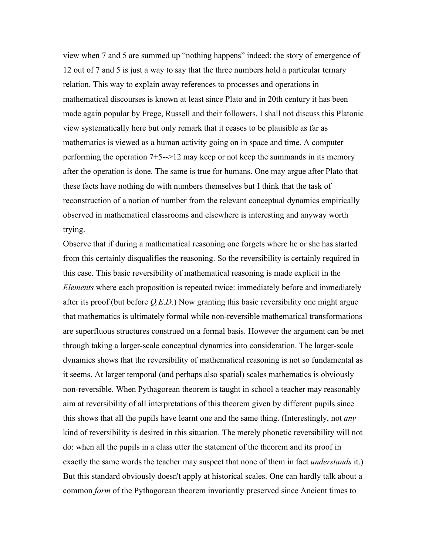view when 7 and 5 are summed up "nothing happens" indeed: the story of emergence of 12 out of 7 and 5 is just a way to say that the three numbers hold a particular ternary relation. This way to explain away references to processes and operations in mathematical discourses is known at least since Plato and in 20th century it has been made again popular by Frege, Russell and their followers. I shall not discuss this Platonic view systematically here but only remark that it ceases to be plausible as far as mathematics is viewed as a human activity going on in space and time. A computer performing the operation 7+5-->12 may keep or not keep the summands in its memory after the operation is done. The same is true for humans. One may argue after Plato that these facts have nothing do with numbers themselves but I think that the task of reconstruction of a notion of number from the relevant conceptual dynamics empirically observed in mathematical classrooms and elsewhere is interesting and anyway worth trying.

Observe that if during a mathematical reasoning one forgets where he or she has started from this certainly disqualifies the reasoning. So the reversibility is certainly required in this case. This basic reversibility of mathematical reasoning is made explicit in the *Elements* where each proposition is repeated twice: immediately before and immediately after its proof (but before *Q.E*.*D*.) Now granting this basic reversibility one might argue that mathematics is ultimately formal while non-reversible mathematical transformations are superfluous structures construed on a formal basis. However the argument can be met through taking a larger-scale conceptual dynamics into consideration. The larger-scale dynamics shows that the reversibility of mathematical reasoning is not so fundamental as it seems. At larger temporal (and perhaps also spatial) scales mathematics is obviously non-reversible. When Pythagorean theorem is taught in school a teacher may reasonably aim at reversibility of all interpretations of this theorem given by different pupils since this shows that all the pupils have learnt one and the same thing. (Interestingly, not *any* kind of reversibility is desired in this situation. The merely phonetic reversibility will not do: when all the pupils in a class utter the statement of the theorem and its proof in exactly the same words the teacher may suspect that none of them in fact *understands* it.) But this standard obviously doesn't apply at historical scales. One can hardly talk about a common *form* of the Pythagorean theorem invariantly preserved since Ancient times to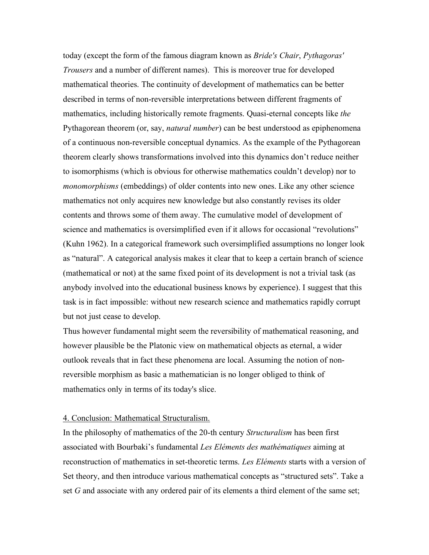today (except the form of the famous diagram known as *Bride's Chair*, *Pythagoras' Trousers* and a number of different names). This is moreover true for developed mathematical theories. The continuity of development of mathematics can be better described in terms of non-reversible interpretations between different fragments of mathematics, including historically remote fragments. Quasi-eternal concepts like *the* Pythagorean theorem (or, say, *natural number*) can be best understood as epiphenomena of a continuous non-reversible conceptual dynamics. As the example of the Pythagorean theorem clearly shows transformations involved into this dynamics don't reduce neither to isomorphisms (which is obvious for otherwise mathematics couldn't develop) nor to *monomorphisms* (embeddings) of older contents into new ones. Like any other science mathematics not only acquires new knowledge but also constantly revises its older contents and throws some of them away. The cumulative model of development of science and mathematics is oversimplified even if it allows for occasional "revolutions" (Kuhn 1962). In a categorical framework such oversimplified assumptions no longer look as "natural". A categorical analysis makes it clear that to keep a certain branch of science (mathematical or not) at the same fixed point of its development is not a trivial task (as anybody involved into the educational business knows by experience). I suggest that this task is in fact impossible: without new research science and mathematics rapidly corrupt but not just cease to develop.

Thus however fundamental might seem the reversibility of mathematical reasoning, and however plausible be the Platonic view on mathematical objects as eternal, a wider outlook reveals that in fact these phenomena are local. Assuming the notion of nonreversible morphism as basic a mathematician is no longer obliged to think of mathematics only in terms of its today's slice.

## 4. Conclusion: Mathematical Structuralism.

In the philosophy of mathematics of the 20-th century *Structuralism* has been first associated with Bourbaki's fundamental *Les Eléments des mathématiques* aiming at reconstruction of mathematics in set-theoretic terms. *Les Eléments* starts with a version of Set theory, and then introduce various mathematical concepts as "structured sets". Take a set *G* and associate with any ordered pair of its elements a third element of the same set;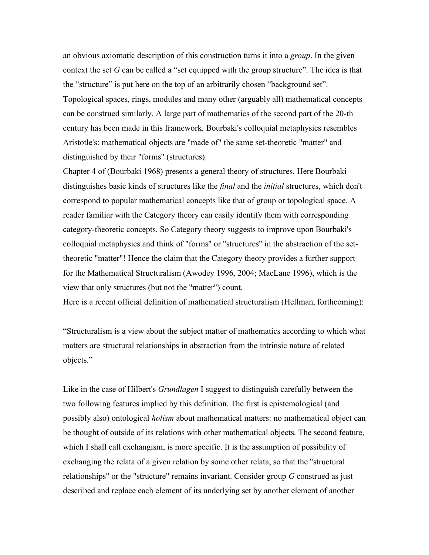an obvious axiomatic description of this construction turns it into a *group*. In the given context the set *G* can be called a "set equipped with the group structure". The idea is that the "structure" is put here on the top of an arbitrarily chosen "background set". Topological spaces, rings, modules and many other (arguably all) mathematical concepts can be construed similarly. A large part of mathematics of the second part of the 20-th century has been made in this framework. Bourbaki's colloquial metaphysics resembles Aristotle's: mathematical objects are "made of" the same set-theoretic "matter" and distinguished by their "forms" (structures).

Chapter 4 of (Bourbaki 1968) presents a general theory of structures. Here Bourbaki distinguishes basic kinds of structures like the *final* and the *initial* structures, which don't correspond to popular mathematical concepts like that of group or topological space. A reader familiar with the Category theory can easily identify them with corresponding category-theoretic concepts. So Category theory suggests to improve upon Bourbaki's colloquial metaphysics and think of "forms" or "structures" in the abstraction of the settheoretic "matter"! Hence the claim that the Category theory provides a further support for the Mathematical Structuralism (Awodey 1996, 2004; MacLane 1996), which is the view that only structures (but not the "matter") count.

Here is a recent official definition of mathematical structuralism (Hellman, forthcoming):

"Structuralism is a view about the subject matter of mathematics according to which what matters are structural relationships in abstraction from the intrinsic nature of related objects."

Like in the case of Hilbert's *Grundlagen* I suggest to distinguish carefully between the two following features implied by this definition. The first is epistemological (and possibly also) ontological *holism* about mathematical matters: no mathematical object can be thought of outside of its relations with other mathematical objects. The second feature, which I shall call exchangism, is more specific. It is the assumption of possibility of exchanging the relata of a given relation by some other relata, so that the "structural relationships" or the "structure" remains invariant. Consider group *G* construed as just described and replace each element of its underlying set by another element of another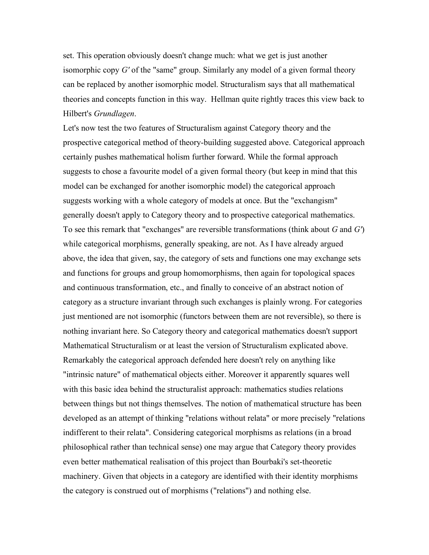set. This operation obviously doesn't change much: what we get is just another isomorphic copy *G'* of the "same" group. Similarly any model of a given formal theory can be replaced by another isomorphic model. Structuralism says that all mathematical theories and concepts function in this way. Hellman quite rightly traces this view back to Hilbert's *Grundlagen*.

Let's now test the two features of Structuralism against Category theory and the prospective categorical method of theory-building suggested above. Categorical approach certainly pushes mathematical holism further forward. While the formal approach suggests to chose a favourite model of a given formal theory (but keep in mind that this model can be exchanged for another isomorphic model) the categorical approach suggests working with a whole category of models at once. But the "exchangism" generally doesn't apply to Category theory and to prospective categorical mathematics. To see this remark that "exchanges" are reversible transformations (think about *G* and *G'*) while categorical morphisms, generally speaking, are not. As I have already argued above, the idea that given, say, the category of sets and functions one may exchange sets and functions for groups and group homomorphisms, then again for topological spaces and continuous transformation, etc., and finally to conceive of an abstract notion of category as a structure invariant through such exchanges is plainly wrong. For categories just mentioned are not isomorphic (functors between them are not reversible), so there is nothing invariant here. So Category theory and categorical mathematics doesn't support Mathematical Structuralism or at least the version of Structuralism explicated above. Remarkably the categorical approach defended here doesn't rely on anything like "intrinsic nature" of mathematical objects either. Moreover it apparently squares well with this basic idea behind the structuralist approach: mathematics studies relations between things but not things themselves. The notion of mathematical structure has been developed as an attempt of thinking "relations without relata" or more precisely "relations indifferent to their relata". Considering categorical morphisms as relations (in a broad philosophical rather than technical sense) one may argue that Category theory provides even better mathematical realisation of this project than Bourbaki's set-theoretic machinery. Given that objects in a category are identified with their identity morphisms the category is construed out of morphisms ("relations") and nothing else.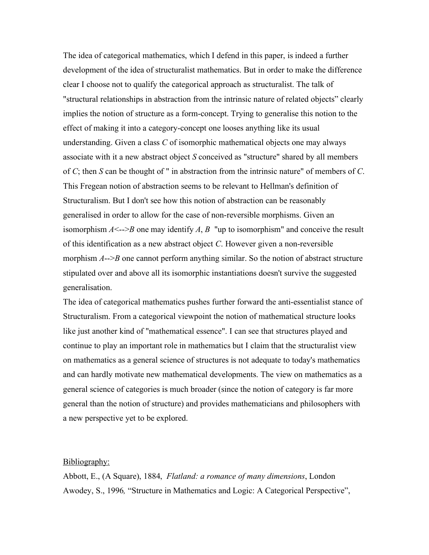The idea of categorical mathematics, which I defend in this paper, is indeed a further development of the idea of structuralist mathematics. But in order to make the difference clear I choose not to qualify the categorical approach as structuralist. The talk of "structural relationships in abstraction from the intrinsic nature of related objects" clearly implies the notion of structure as a form-concept. Trying to generalise this notion to the effect of making it into a category-concept one looses anything like its usual understanding. Given a class *C* of isomorphic mathematical objects one may always associate with it a new abstract object *S* conceived as "structure" shared by all members of *C*; then *S* can be thought of " in abstraction from the intrinsic nature" of members of *C*. This Fregean notion of abstraction seems to be relevant to Hellman's definition of Structuralism. But I don't see how this notion of abstraction can be reasonably generalised in order to allow for the case of non-reversible morphisms. Given an isomorphism  $A \leq -\frac{3}{2}$  one may identify A, B "up to isomorphism" and conceive the result of this identification as a new abstract object *C*. However given a non-reversible morphism *A*-->*B* one cannot perform anything similar. So the notion of abstract structure stipulated over and above all its isomorphic instantiations doesn't survive the suggested generalisation.

The idea of categorical mathematics pushes further forward the anti-essentialist stance of Structuralism. From a categorical viewpoint the notion of mathematical structure looks like just another kind of "mathematical essence". I can see that structures played and continue to play an important role in mathematics but I claim that the structuralist view on mathematics as a general science of structures is not adequate to today's mathematics and can hardly motivate new mathematical developments. The view on mathematics as a general science of categories is much broader (since the notion of category is far more general than the notion of structure) and provides mathematicians and philosophers with a new perspective yet to be explored.

## Bibliography:

Abbott, E., (A Square), 1884, *Flatland: a romance of many dimensions*, London Awodey, S., 1996*,* "Structure in Mathematics and Logic: A Categorical Perspective",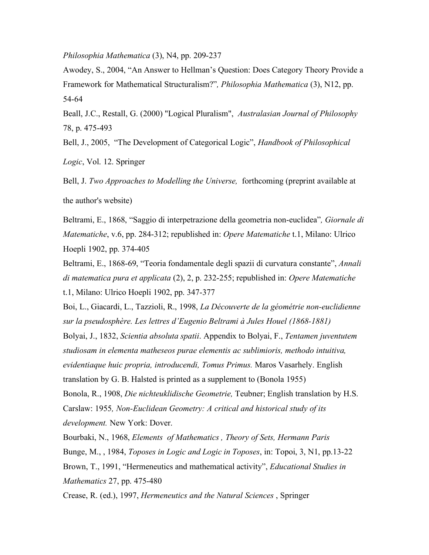*Philosophia Mathematica* (3), N4, pp. 209-237

Awodey, S., 2004, "An Answer to Hellman's Question: Does Category Theory Provide a Framework for Mathematical Structuralism?"*, Philosophia Mathematica* (3), N12, pp. 54-64

Beall, J.C., Restall, G. (2000) "Logical Pluralism", *Australasian Journal of Philosophy* 78, p. 475-493

Bell, J., 2005, "The Development of Categorical Logic", *Handbook of Philosophical*

*Logic*, Vol. 12. Springer

Bell, J. *Two Approaches to Modelling the Universe,* forthcoming (preprint available at the author's website)

Beltrami, E., 1868, "Saggio di interpetrazione della geometria non-euclidea"*, Giornale di Matematiche*, v.6, pp. 284-312; republished in: *Opere Matematiche* t.1, Milano: Ulrico Hoepli 1902, pp. 374-405

Beltrami, E., 1868-69, "Teoria fondamentale degli spazii di curvatura constante", *Annali di matematica pura et applicata* (2), 2, p. 232-255; republished in: *Opere Matematiche* t.1, Milano: Ulrico Hoepli 1902, pp. 347-377

Boi, L., Giacardi, L., Tazzioli, R., 1998, *La Découverte de la géométrie non-euclidienne sur la pseudosphère. Les lettres d'Eugenio Beltrami à Jules Houel (1868-1881)*

Bolyai, J., 1832, *Scientia absoluta spatii*. Appendix to Bolyai, F., *Tentamen juventutem studiosam in elementa matheseos purae elementis ac sublimioris, methodo intuitiva, evidentiaque huic propria, introducendi, Tomus Primus.* Maros Vasarhely. English translation by G. B. Halsted is printed as a supplement to (Bonola 1955)

Bonola, R., 1908, *Die nichteuklidische Geometrie,* Teubner; English translation by H.S. Carslaw: 1955*, Non-Euclidean Geometry: A critical and historical study of its development.* New York: Dover.

Bourbaki, N., 1968, *Elements of Mathematics , Theory of Sets, Hermann Paris* Bunge, M., , 1984, *Toposes in Logic and Logic in Toposes*, in: Topoi, 3, N1, pp.13-22 Brown, T., 1991, "Hermeneutics and mathematical activity", *Educational Studies in Mathematics* 27, pp. 475-480

Crease, R. (ed.), 1997, *Hermeneutics and the Natural Sciences* , Springer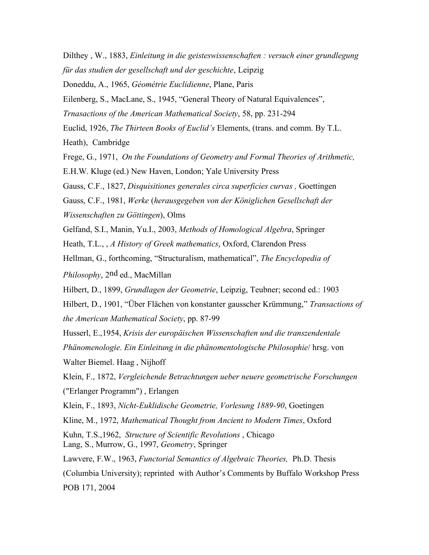Dilthey , W., 1883, *Einleitung in die geisteswissenschaften : versuch einer grundlegung für das studien der gesellschaft und der geschichte*, Leipzig Doneddu, A., 1965, *Géométrie Euclidienne*, Plane, Paris Eilenberg, S., MacLane, S., 1945, "General Theory of Natural Equivalences", *Trnasactions of the American Mathematical Society*, 58, pp. 231-294 Euclid, 1926, *The Thirteen Books of Euclid's* Elements, (trans. and comm. By T.L. Heath), Cambridge Frege, G., 1971, *On the Foundations of Geometry and Formal Theories of Arithmetic,* E.H.W. Kluge (ed.) New Haven, London; Yale University Press Gauss, C.F., 1827, *Disquisitiones generales circa superficies curvas ,* Goettingen Gauss, C.F., 1981, *Werke* (*herausgegeben von der Königlichen Gesellschaft der Wissenschaften zu Göttingen*), Olms Gelfand, S.I., Manin, Yu.I., 2003, *Methods of Homological Algebra*, Springer Heath, T.L., , *A History of Greek mathematics*, Oxford, Clarendon Press Hellman, G., forthcoming, "Structuralism, mathematical", *The Encyclopedia of Philosophy*, 2nd ed., MacMillan Hilbert, D., 1899, *Grundlagen der Geometrie*, Leipzig, Teubner; second ed.: 1903 Hilbert, D., 1901, "Über Flächen von konstanter gausscher Krümmung," *Transactions of the American Mathematical Society*, pp. 87-99 Husserl, E.,1954, *Krisis der europäischen Wissenschaften und die transzendentale Phänomenologie. Ein Einleitung in die phänomentologische Philosophie*/ hrsg. von Walter Biemel. Haag , Nijhoff Klein, F., 1872, *Vergleichende Betrachtungen ueber neuere geometrische Forschungen*  ("Erlanger Programm") , Erlangen Klein, F., 1893, *Nicht-Euklidische Geometrie, Vorlesung 1889-90*, Goetingen Kline, M., 1972, *Mathematical Thought from Ancient to Modern Times*, Oxford Kuhn, T.S.,1962, *Structure of Scientific Revolutions* , Chicago Lang, S., Murrow, G., 1997, *Geometry*, Springer Lawvere, F.W., 1963, *Functorial Semantics of Algebraic Theories,* Ph.D. Thesis (Columbia University); reprinted with Author's Comments by Buffalo Workshop Press POB 171, 2004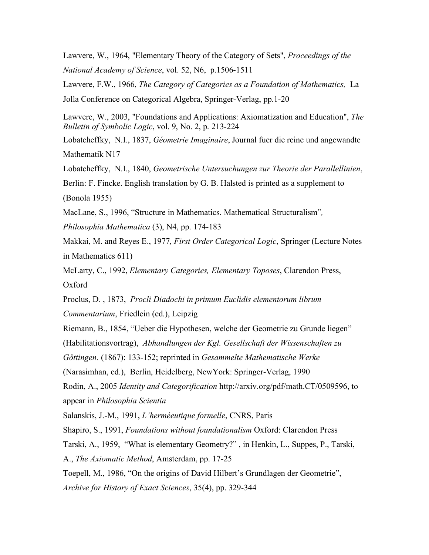Lawvere, W., 1964, "Elementary Theory of the Category of Sets", *Proceedings of the National Academy of Science*, vol. 52, N6, p.1506-1511

Lawvere, F.W., 1966, *The Category of Categories as a Foundation of Mathematics,* La Jolla Conference on Categorical Algebra, Springer-Verlag, pp.1-20

Lawvere, W., 2003, "Foundations and Applications: Axiomatization and Education", *The Bulletin of Symbolic Logic*, vol. 9, No. 2, p. 213-224

Lobatcheffky, N.I., 1837, *Géometrie Imaginaire*, Journal fuer die reine und angewandte Mathematik N17

Lobatcheffky, N.I., 1840, *Geometrische Untersuchungen zur Theorie der Parallellinien*,

Berlin: F. Fincke. English translation by G. B. Halsted is printed as a supplement to (Bonola 1955)

MacLane, S., 1996, "Structure in Mathematics. Mathematical Structuralism"*,*

*Philosophia Mathematica* (3), N4, pp. 174-183

Makkai, M. and Reyes E., 1977*, First Order Categorical Logic*, Springer (Lecture Notes in Mathematics 611)

McLarty, C., 1992, *Elementary Categories, Elementary Toposes*, Clarendon Press, Oxford

Proclus, D. , 1873, *Procli Diadochi in primum Euclidis elementorum librum*

*Commentarium*, Friedlein (ed.), Leipzig

Riemann, B., 1854, "Ueber die Hypothesen, welche der Geometrie zu Grunde liegen"

(Habilitationsvortrag), *Abhandlungen der Kgl. Gesellschaft der Wissenschaften zu* 

*Göttingen.* (1867): 133-152; reprinted in *Gesammelte Mathematische Werke*

(Narasimhan, ed.), Berlin, Heidelberg, NewYork: Springer-Verlag, 1990

Rodin, A., 2005 *Identity and Categorification* http://arxiv.org/pdf/math.CT/0509596, to appear in *Philosophia Scientia*

Salanskis, J.-M., 1991, *L'herméeutique formelle*, CNRS, Paris

Shapiro, S., 1991, *Foundations without foundationalism* Oxford: Clarendon Press

Tarski, A., 1959, "What is elementary Geometry?" , in Henkin, L., Suppes, P., Tarski, A., *The Axiomatic Method*, Amsterdam, pp. 17-25

Toepell, M., 1986, "On the origins of David Hilbert's Grundlagen der Geometrie", *Archive for History of Exact Sciences*, 35(4), pp. 329-344